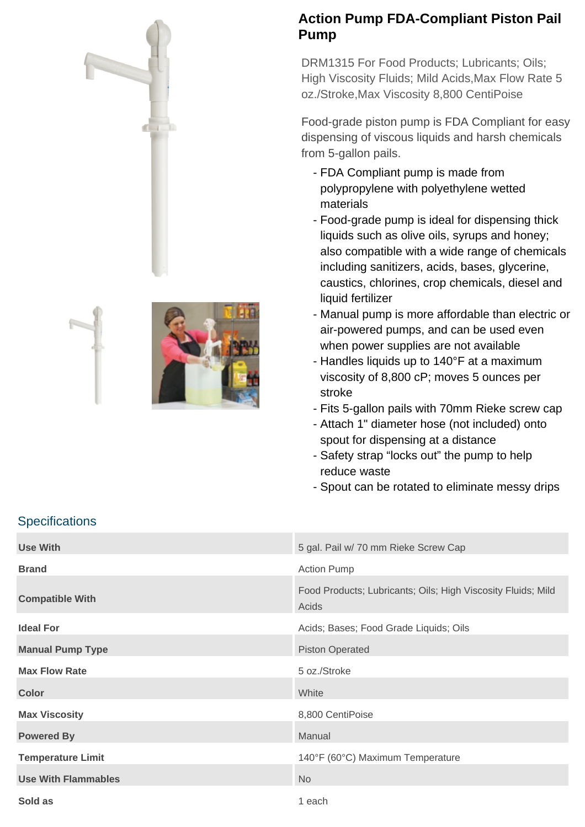



## **Action Pump FDA-Compliant Piston Pail Pump**

DRM1315 For Food Products; Lubricants; Oils; High Viscosity Fluids; Mild Acids,Max Flow Rate 5 oz./Stroke,Max Viscosity 8,800 CentiPoise

Food-grade piston pump is FDA Compliant for easy dispensing of viscous liquids and harsh chemicals from 5-gallon pails.

- FDA Compliant pump is made from polypropylene with polyethylene wetted materials
- Food-grade pump is ideal for dispensing thick liquids such as olive oils, syrups and honey; also compatible with a wide range of chemicals including sanitizers, acids, bases, glycerine, caustics, chlorines, crop chemicals, diesel and liquid fertilizer
- Manual pump is more affordable than electric or air-powered pumps, and can be used even when power supplies are not available
- Handles liquids up to 140°F at a maximum viscosity of 8,800 cP; moves 5 ounces per stroke
- Fits 5-gallon pails with 70mm Rieke screw cap
- Attach 1" diameter hose (not included) onto spout for dispensing at a distance
- Safety strap "locks out" the pump to help reduce waste
- Spout can be rotated to eliminate messy drips

## **Specifications**

| <b>Use With</b>            | 5 gal. Pail w/ 70 mm Rieke Screw Cap                                  |
|----------------------------|-----------------------------------------------------------------------|
| <b>Brand</b>               | <b>Action Pump</b>                                                    |
| <b>Compatible With</b>     | Food Products; Lubricants; Oils; High Viscosity Fluids; Mild<br>Acids |
| <b>Ideal For</b>           | Acids; Bases; Food Grade Liquids; Oils                                |
| <b>Manual Pump Type</b>    | <b>Piston Operated</b>                                                |
| <b>Max Flow Rate</b>       | 5 oz./Stroke                                                          |
| <b>Color</b>               | White                                                                 |
| <b>Max Viscosity</b>       | 8,800 CentiPoise                                                      |
| <b>Powered By</b>          | Manual                                                                |
| <b>Temperature Limit</b>   | 140°F (60°C) Maximum Temperature                                      |
| <b>Use With Flammables</b> | <b>No</b>                                                             |
| Sold as                    | 1 each                                                                |